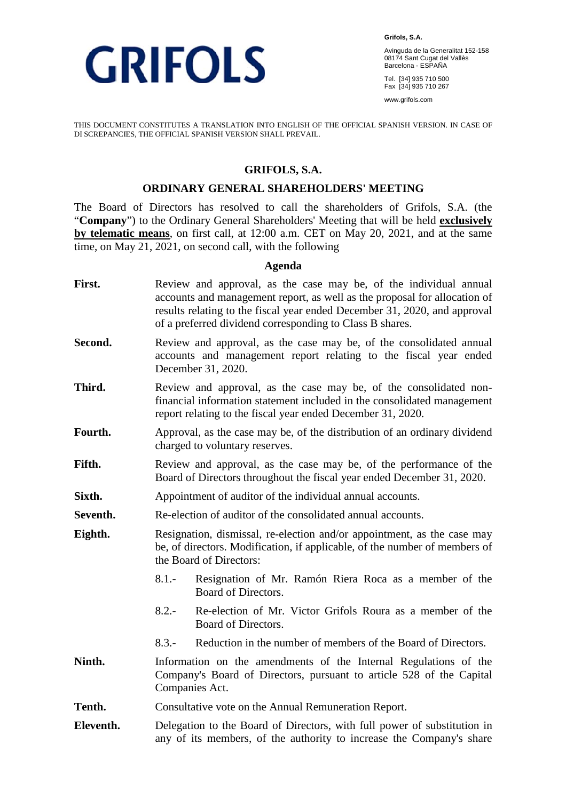

**Grifols, S.A.**  Avinguda de la Generalitat 152-158 08174 Sant Cugat del Vallès Barcelona - ESPAÑA

Tel. [34] 935 710 500 Fax [34] 935 710 267

www.grifols.com

THIS DOCUMENT CONSTITUTES A TRANSLATION INTO ENGLISH OF THE OFFICIAL SPANISH VERSION. IN CASE OF DI SCREPANCIES, THE OFFICIAL SPANISH VERSION SHALL PREVAIL.

### **GRIFOLS, S.A.**

#### **ORDINARY GENERAL SHAREHOLDERS' MEETING**

The Board of Directors has resolved to call the shareholders of Grifols, S.A. (the "**Company**") to the Ordinary General Shareholders' Meeting that will be held **exclusively by telematic means**, on first call, at 12:00 a.m. CET on May 20, 2021, and at the same time, on May 21, 2021, on second call, with the following

#### **Agenda**

- First. Review and approval, as the case may be, of the individual annual accounts and management report, as well as the proposal for allocation of results relating to the fiscal year ended December 31, 2020, and approval of a preferred dividend corresponding to Class B shares.
- **Second.** Review and approval, as the case may be, of the consolidated annual accounts and management report relating to the fiscal year ended December 31, 2020.
- **Third.** Review and approval, as the case may be, of the consolidated nonfinancial information statement included in the consolidated management report relating to the fiscal year ended December 31, 2020.
- Fourth. Approval, as the case may be, of the distribution of an ordinary dividend charged to voluntary reserves.
- Fifth. Review and approval, as the case may be, of the performance of the Board of Directors throughout the fiscal year ended December 31, 2020.
- **Sixth.** Appointment of auditor of the individual annual accounts.
- **Seventh.** Re-election of auditor of the consolidated annual accounts.
- **Eighth.** Resignation, dismissal, re-election and/or appointment, as the case may be, of directors. Modification, if applicable, of the number of members of the Board of Directors:
	- 8.1.- Resignation of Mr. Ramón Riera Roca as a member of the Board of Directors.
	- 8.2.- Re-election of Mr. Victor Grifols Roura as a member of the Board of Directors.
	- 8.3.- Reduction in the number of members of the Board of Directors.
- **Ninth.** Information on the amendments of the Internal Regulations of the Company's Board of Directors, pursuant to article 528 of the Capital Companies Act.
- Tenth. Consultative vote on the Annual Remuneration Report.
- **Eleventh.** Delegation to the Board of Directors, with full power of substitution in any of its members, of the authority to increase the Company's share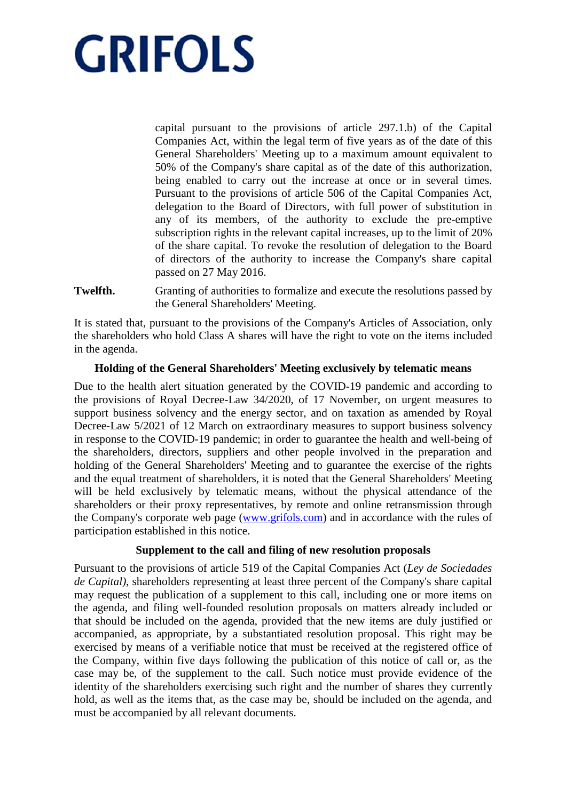capital pursuant to the provisions of article 297.1.b) of the Capital Companies Act, within the legal term of five years as of the date of this General Shareholders' Meeting up to a maximum amount equivalent to 50% of the Company's share capital as of the date of this authorization, being enabled to carry out the increase at once or in several times. Pursuant to the provisions of article 506 of the Capital Companies Act, delegation to the Board of Directors, with full power of substitution in any of its members, of the authority to exclude the pre-emptive subscription rights in the relevant capital increases, up to the limit of 20% of the share capital. To revoke the resolution of delegation to the Board of directors of the authority to increase the Company's share capital passed on 27 May 2016.

**Twelfth.** Granting of authorities to formalize and execute the resolutions passed by the General Shareholders' Meeting.

It is stated that, pursuant to the provisions of the Company's Articles of Association, only the shareholders who hold Class A shares will have the right to vote on the items included in the agenda.

### **Holding of the General Shareholders' Meeting exclusively by telematic means**

Due to the health alert situation generated by the COVID-19 pandemic and according to the provisions of Royal Decree-Law 34/2020, of 17 November, on urgent measures to support business solvency and the energy sector, and on taxation as amended by Royal Decree-Law 5/2021 of 12 March on extraordinary measures to support business solvency in response to the COVID-19 pandemic; in order to guarantee the health and well-being of the shareholders, directors, suppliers and other people involved in the preparation and holding of the General Shareholders' Meeting and to guarantee the exercise of the rights and the equal treatment of shareholders, it is noted that the General Shareholders' Meeting will be held exclusively by telematic means, without the physical attendance of the shareholders or their proxy representatives, by remote and online retransmission through the Company's corporate web page (www.grifols.com) and in accordance with the rules of participation established in this notice.

#### **Supplement to the call and filing of new resolution proposals**

Pursuant to the provisions of article 519 of the Capital Companies Act (*Ley de Sociedades de Capital)*, shareholders representing at least three percent of the Company's share capital may request the publication of a supplement to this call, including one or more items on the agenda, and filing well-founded resolution proposals on matters already included or that should be included on the agenda, provided that the new items are duly justified or accompanied, as appropriate, by a substantiated resolution proposal. This right may be exercised by means of a verifiable notice that must be received at the registered office of the Company, within five days following the publication of this notice of call or, as the case may be, of the supplement to the call. Such notice must provide evidence of the identity of the shareholders exercising such right and the number of shares they currently hold, as well as the items that, as the case may be, should be included on the agenda, and must be accompanied by all relevant documents.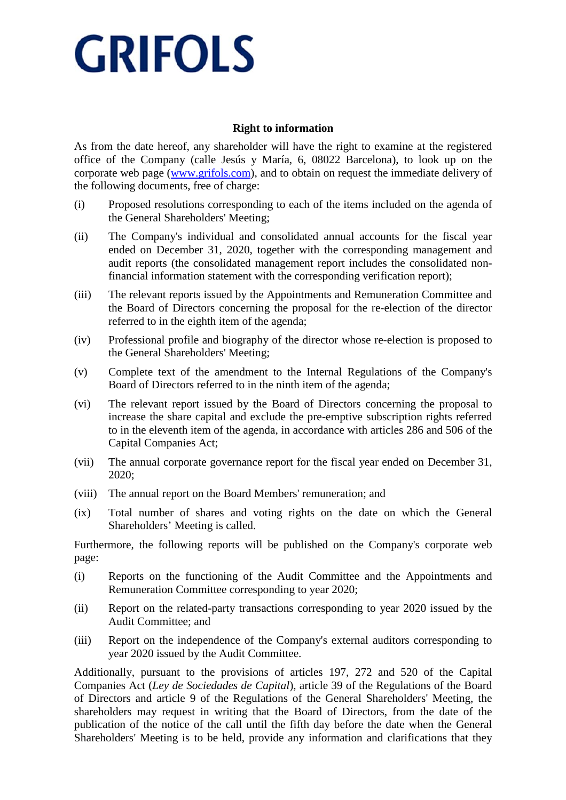### **Right to information**

As from the date hereof, any shareholder will have the right to examine at the registered office of the Company (calle Jesús y María, 6, 08022 Barcelona), to look up on the corporate web page (www.grifols.com), and to obtain on request the immediate delivery of the following documents, free of charge:

- (i) Proposed resolutions corresponding to each of the items included on the agenda of the General Shareholders' Meeting;
- (ii) The Company's individual and consolidated annual accounts for the fiscal year ended on December 31, 2020, together with the corresponding management and audit reports (the consolidated management report includes the consolidated nonfinancial information statement with the corresponding verification report);
- (iii) The relevant reports issued by the Appointments and Remuneration Committee and the Board of Directors concerning the proposal for the re-election of the director referred to in the eighth item of the agenda;
- (iv) Professional profile and biography of the director whose re-election is proposed to the General Shareholders' Meeting;
- (v) Complete text of the amendment to the Internal Regulations of the Company's Board of Directors referred to in the ninth item of the agenda;
- (vi) The relevant report issued by the Board of Directors concerning the proposal to increase the share capital and exclude the pre-emptive subscription rights referred to in the eleventh item of the agenda, in accordance with articles 286 and 506 of the Capital Companies Act;
- (vii) The annual corporate governance report for the fiscal year ended on December 31, 2020;
- (viii) The annual report on the Board Members' remuneration; and
- (ix) Total number of shares and voting rights on the date on which the General Shareholders' Meeting is called.

Furthermore, the following reports will be published on the Company's corporate web page:

- (i) Reports on the functioning of the Audit Committee and the Appointments and Remuneration Committee corresponding to year 2020;
- (ii) Report on the related-party transactions corresponding to year 2020 issued by the Audit Committee; and
- (iii) Report on the independence of the Company's external auditors corresponding to year 2020 issued by the Audit Committee.

Additionally, pursuant to the provisions of articles 197, 272 and 520 of the Capital Companies Act (*Ley de Sociedades de Capital*), article 39 of the Regulations of the Board of Directors and article 9 of the Regulations of the General Shareholders' Meeting, the shareholders may request in writing that the Board of Directors, from the date of the publication of the notice of the call until the fifth day before the date when the General Shareholders' Meeting is to be held, provide any information and clarifications that they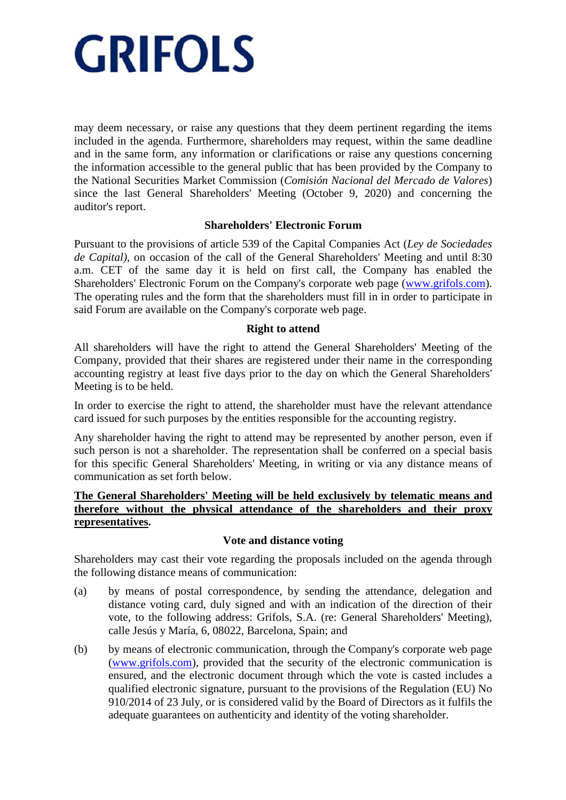may deem necessary, or raise any questions that they deem pertinent regarding the items included in the agenda. Furthermore, shareholders may request, within the same deadline and in the same form, any information or clarifications or raise any questions concerning the information accessible to the general public that has been provided by the Company to the National Securities Market Commission (*Comisión Nacional del Mercado de Valores*) since the last General Shareholders' Meeting (October 9, 2020) and concerning the auditor's report.

### **Shareholders' Electronic Forum**

Pursuant to the provisions of article 539 of the Capital Companies Act (*Ley de Sociedades de Capital)*, on occasion of the call of the General Shareholders' Meeting and until 8:30 a.m. CET of the same day it is held on first call, the Company has enabled the Shareholders' Electronic Forum on the Company's corporate web page (www.grifols.com). The operating rules and the form that the shareholders must fill in in order to participate in said Forum are available on the Company's corporate web page.

#### **Right to attend**

All shareholders will have the right to attend the General Shareholders' Meeting of the Company, provided that their shares are registered under their name in the corresponding accounting registry at least five days prior to the day on which the General Shareholders' Meeting is to be held.

In order to exercise the right to attend, the shareholder must have the relevant attendance card issued for such purposes by the entities responsible for the accounting registry.

Any shareholder having the right to attend may be represented by another person, even if such person is not a shareholder. The representation shall be conferred on a special basis for this specific General Shareholders' Meeting, in writing or via any distance means of communication as set forth below.

## **The General Shareholders' Meeting will be held exclusively by telematic means and therefore without the physical attendance of the shareholders and their proxy representatives.**

#### **Vote and distance voting**

Shareholders may cast their vote regarding the proposals included on the agenda through the following distance means of communication:

- (a) by means of postal correspondence, by sending the attendance, delegation and distance voting card, duly signed and with an indication of the direction of their vote, to the following address: Grifols, S.A. (re: General Shareholders' Meeting), calle Jesús y María, 6, 08022, Barcelona, Spain; and
- (b) by means of electronic communication, through the Company's corporate web page (www.grifols.com), provided that the security of the electronic communication is ensured, and the electronic document through which the vote is casted includes a qualified electronic signature, pursuant to the provisions of the Regulation (EU) No 910/2014 of 23 July, or is considered valid by the Board of Directors as it fulfils the adequate guarantees on authenticity and identity of the voting shareholder.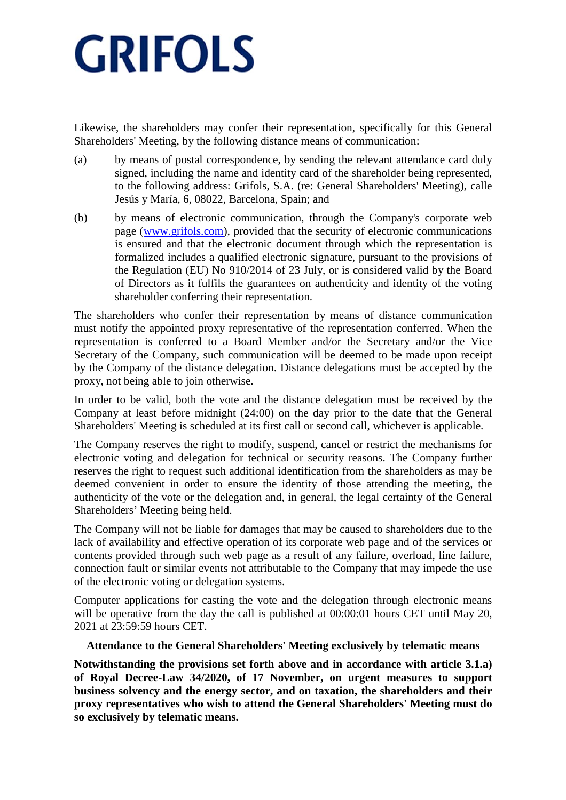Likewise, the shareholders may confer their representation, specifically for this General Shareholders' Meeting, by the following distance means of communication:

- (a) by means of postal correspondence, by sending the relevant attendance card duly signed, including the name and identity card of the shareholder being represented, to the following address: Grifols, S.A. (re: General Shareholders' Meeting), calle Jesús y María, 6, 08022, Barcelona, Spain; and
- (b) by means of electronic communication, through the Company's corporate web page (www.grifols.com), provided that the security of electronic communications is ensured and that the electronic document through which the representation is formalized includes a qualified electronic signature, pursuant to the provisions of the Regulation (EU) No 910/2014 of 23 July, or is considered valid by the Board of Directors as it fulfils the guarantees on authenticity and identity of the voting shareholder conferring their representation.

The shareholders who confer their representation by means of distance communication must notify the appointed proxy representative of the representation conferred. When the representation is conferred to a Board Member and/or the Secretary and/or the Vice Secretary of the Company, such communication will be deemed to be made upon receipt by the Company of the distance delegation. Distance delegations must be accepted by the proxy, not being able to join otherwise.

In order to be valid, both the vote and the distance delegation must be received by the Company at least before midnight (24:00) on the day prior to the date that the General Shareholders' Meeting is scheduled at its first call or second call, whichever is applicable.

The Company reserves the right to modify, suspend, cancel or restrict the mechanisms for electronic voting and delegation for technical or security reasons. The Company further reserves the right to request such additional identification from the shareholders as may be deemed convenient in order to ensure the identity of those attending the meeting, the authenticity of the vote or the delegation and, in general, the legal certainty of the General Shareholders' Meeting being held.

The Company will not be liable for damages that may be caused to shareholders due to the lack of availability and effective operation of its corporate web page and of the services or contents provided through such web page as a result of any failure, overload, line failure, connection fault or similar events not attributable to the Company that may impede the use of the electronic voting or delegation systems.

Computer applications for casting the vote and the delegation through electronic means will be operative from the day the call is published at  $00:00:01$  hours CET until May 20, 2021 at 23:59:59 hours CET.

#### **Attendance to the General Shareholders' Meeting exclusively by telematic means**

**Notwithstanding the provisions set forth above and in accordance with article 3.1.a) of Royal Decree-Law 34/2020, of 17 November, on urgent measures to support business solvency and the energy sector, and on taxation, the shareholders and their proxy representatives who wish to attend the General Shareholders' Meeting must do so exclusively by telematic means.**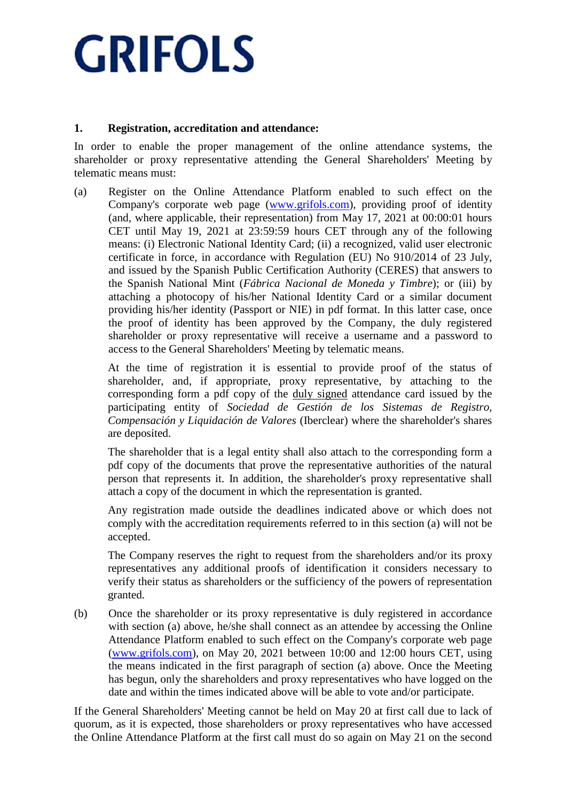### **1. Registration, accreditation and attendance:**

In order to enable the proper management of the online attendance systems, the shareholder or proxy representative attending the General Shareholders' Meeting by telematic means must:

(a) Register on the Online Attendance Platform enabled to such effect on the Company's corporate web page (www.grifols.com), providing proof of identity (and, where applicable, their representation) from May 17, 2021 at 00:00:01 hours CET until May 19, 2021 at 23:59:59 hours CET through any of the following means: (i) Electronic National Identity Card; (ii) a recognized, valid user electronic certificate in force, in accordance with Regulation (EU) No 910/2014 of 23 July, and issued by the Spanish Public Certification Authority (CERES) that answers to the Spanish National Mint (*Fábrica Nacional de Moneda y Timbre*); or (iii) by attaching a photocopy of his/her National Identity Card or a similar document providing his/her identity (Passport or NIE) in pdf format. In this latter case, once the proof of identity has been approved by the Company, the duly registered shareholder or proxy representative will receive a username and a password to access to the General Shareholders' Meeting by telematic means.

At the time of registration it is essential to provide proof of the status of shareholder, and, if appropriate, proxy representative, by attaching to the corresponding form a pdf copy of the duly signed attendance card issued by the participating entity of *Sociedad de Gestión de los Sistemas de Registro, Compensación y Liquidación de Valores* (Iberclear) where the shareholder's shares are deposited.

The shareholder that is a legal entity shall also attach to the corresponding form a pdf copy of the documents that prove the representative authorities of the natural person that represents it. In addition, the shareholder's proxy representative shall attach a copy of the document in which the representation is granted.

Any registration made outside the deadlines indicated above or which does not comply with the accreditation requirements referred to in this section (a) will not be accepted.

The Company reserves the right to request from the shareholders and/or its proxy representatives any additional proofs of identification it considers necessary to verify their status as shareholders or the sufficiency of the powers of representation granted.

(b) Once the shareholder or its proxy representative is duly registered in accordance with section (a) above, he/she shall connect as an attendee by accessing the Online Attendance Platform enabled to such effect on the Company's corporate web page (www.grifols.com), on May 20, 2021 between 10:00 and 12:00 hours CET, using the means indicated in the first paragraph of section (a) above. Once the Meeting has begun, only the shareholders and proxy representatives who have logged on the date and within the times indicated above will be able to vote and/or participate.

If the General Shareholders' Meeting cannot be held on May 20 at first call due to lack of quorum, as it is expected, those shareholders or proxy representatives who have accessed the Online Attendance Platform at the first call must do so again on May 21 on the second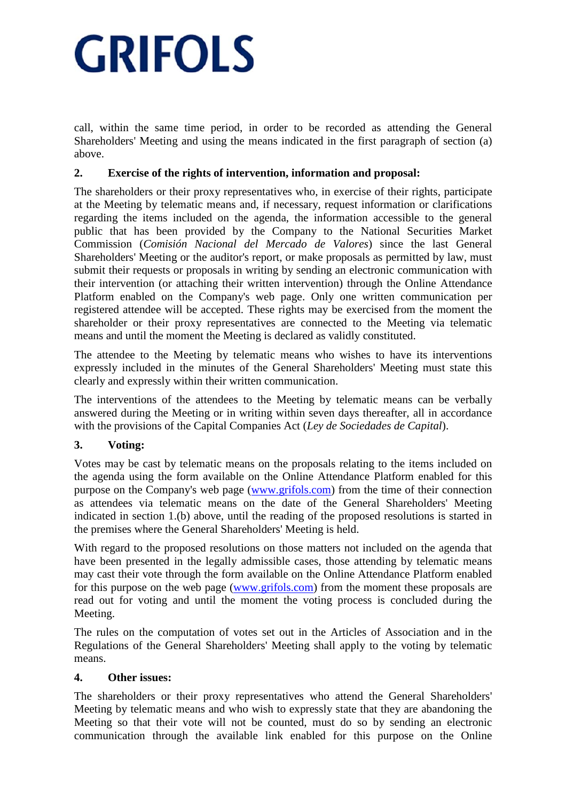call, within the same time period, in order to be recorded as attending the General Shareholders' Meeting and using the means indicated in the first paragraph of section (a) above.

# **2. Exercise of the rights of intervention, information and proposal:**

The shareholders or their proxy representatives who, in exercise of their rights, participate at the Meeting by telematic means and, if necessary, request information or clarifications regarding the items included on the agenda, the information accessible to the general public that has been provided by the Company to the National Securities Market Commission (*Comisión Nacional del Mercado de Valores*) since the last General Shareholders' Meeting or the auditor's report, or make proposals as permitted by law, must submit their requests or proposals in writing by sending an electronic communication with their intervention (or attaching their written intervention) through the Online Attendance Platform enabled on the Company's web page. Only one written communication per registered attendee will be accepted. These rights may be exercised from the moment the shareholder or their proxy representatives are connected to the Meeting via telematic means and until the moment the Meeting is declared as validly constituted.

The attendee to the Meeting by telematic means who wishes to have its interventions expressly included in the minutes of the General Shareholders' Meeting must state this clearly and expressly within their written communication.

The interventions of the attendees to the Meeting by telematic means can be verbally answered during the Meeting or in writing within seven days thereafter, all in accordance with the provisions of the Capital Companies Act (*Ley de Sociedades de Capital*).

## **3. Voting:**

Votes may be cast by telematic means on the proposals relating to the items included on the agenda using the form available on the Online Attendance Platform enabled for this purpose on the Company's web page (www.grifols.com) from the time of their connection as attendees via telematic means on the date of the General Shareholders' Meeting indicated in section 1.(b) above, until the reading of the proposed resolutions is started in the premises where the General Shareholders' Meeting is held.

With regard to the proposed resolutions on those matters not included on the agenda that have been presented in the legally admissible cases, those attending by telematic means may cast their vote through the form available on the Online Attendance Platform enabled for this purpose on the web page (www.grifols.com) from the moment these proposals are read out for voting and until the moment the voting process is concluded during the Meeting.

The rules on the computation of votes set out in the Articles of Association and in the Regulations of the General Shareholders' Meeting shall apply to the voting by telematic means.

## **4. Other issues:**

The shareholders or their proxy representatives who attend the General Shareholders' Meeting by telematic means and who wish to expressly state that they are abandoning the Meeting so that their vote will not be counted, must do so by sending an electronic communication through the available link enabled for this purpose on the Online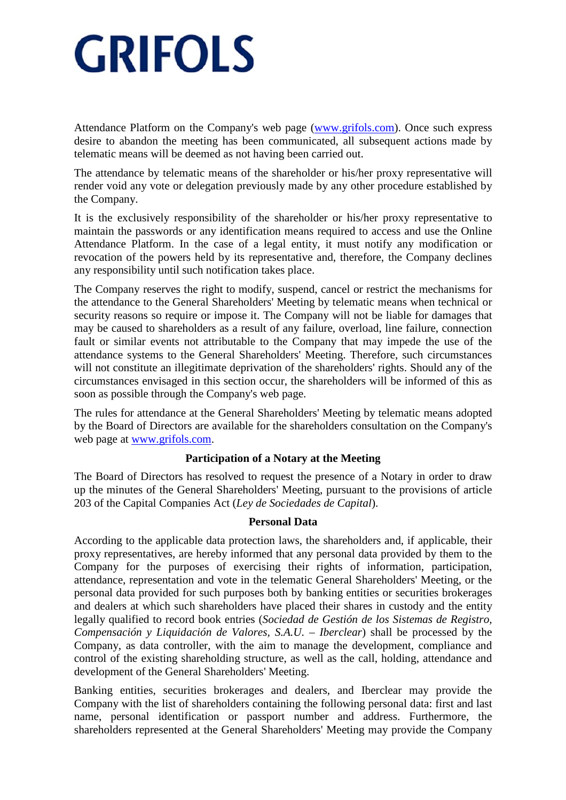Attendance Platform on the Company's web page (www.grifols.com). Once such express desire to abandon the meeting has been communicated, all subsequent actions made by telematic means will be deemed as not having been carried out.

The attendance by telematic means of the shareholder or his/her proxy representative will render void any vote or delegation previously made by any other procedure established by the Company.

It is the exclusively responsibility of the shareholder or his/her proxy representative to maintain the passwords or any identification means required to access and use the Online Attendance Platform. In the case of a legal entity, it must notify any modification or revocation of the powers held by its representative and, therefore, the Company declines any responsibility until such notification takes place.

The Company reserves the right to modify, suspend, cancel or restrict the mechanisms for the attendance to the General Shareholders' Meeting by telematic means when technical or security reasons so require or impose it. The Company will not be liable for damages that may be caused to shareholders as a result of any failure, overload, line failure, connection fault or similar events not attributable to the Company that may impede the use of the attendance systems to the General Shareholders' Meeting. Therefore, such circumstances will not constitute an illegitimate deprivation of the shareholders' rights. Should any of the circumstances envisaged in this section occur, the shareholders will be informed of this as soon as possible through the Company's web page.

The rules for attendance at the General Shareholders' Meeting by telematic means adopted by the Board of Directors are available for the shareholders consultation on the Company's web page at www.grifols.com.

#### **Participation of a Notary at the Meeting**

The Board of Directors has resolved to request the presence of a Notary in order to draw up the minutes of the General Shareholders' Meeting, pursuant to the provisions of article 203 of the Capital Companies Act (*Ley de Sociedades de Capital*).

## **Personal Data**

According to the applicable data protection laws, the shareholders and, if applicable, their proxy representatives, are hereby informed that any personal data provided by them to the Company for the purposes of exercising their rights of information, participation, attendance, representation and vote in the telematic General Shareholders' Meeting, or the personal data provided for such purposes both by banking entities or securities brokerages and dealers at which such shareholders have placed their shares in custody and the entity legally qualified to record book entries (*Sociedad de Gestión de los Sistemas de Registro, Compensación y Liquidación de Valores, S.A.U. – Iberclear*) shall be processed by the Company, as data controller, with the aim to manage the development, compliance and control of the existing shareholding structure, as well as the call, holding, attendance and development of the General Shareholders' Meeting.

Banking entities, securities brokerages and dealers, and Iberclear may provide the Company with the list of shareholders containing the following personal data: first and last name, personal identification or passport number and address. Furthermore, the shareholders represented at the General Shareholders' Meeting may provide the Company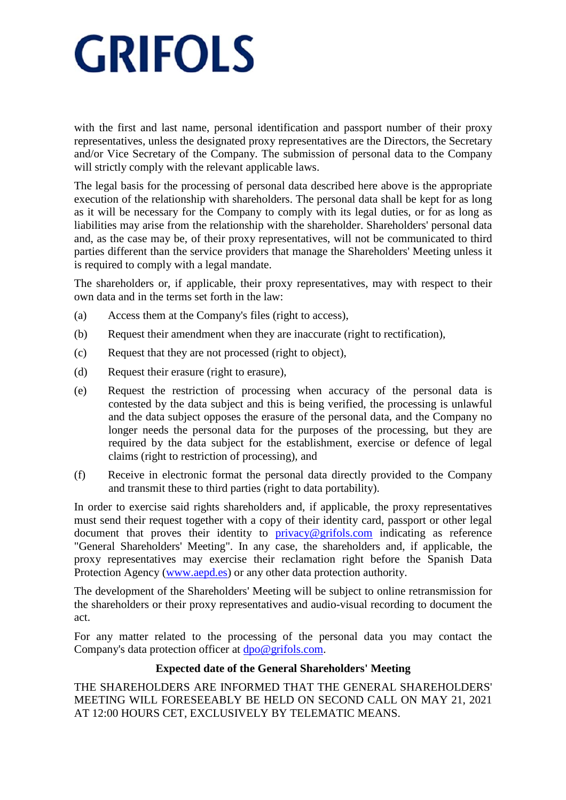with the first and last name, personal identification and passport number of their proxy representatives, unless the designated proxy representatives are the Directors, the Secretary and/or Vice Secretary of the Company. The submission of personal data to the Company will strictly comply with the relevant applicable laws.

The legal basis for the processing of personal data described here above is the appropriate execution of the relationship with shareholders. The personal data shall be kept for as long as it will be necessary for the Company to comply with its legal duties, or for as long as liabilities may arise from the relationship with the shareholder. Shareholders' personal data and, as the case may be, of their proxy representatives, will not be communicated to third parties different than the service providers that manage the Shareholders' Meeting unless it is required to comply with a legal mandate.

The shareholders or, if applicable, their proxy representatives, may with respect to their own data and in the terms set forth in the law:

- (a) Access them at the Company's files (right to access),
- (b) Request their amendment when they are inaccurate (right to rectification),
- (c) Request that they are not processed (right to object),
- (d) Request their erasure (right to erasure),
- (e) Request the restriction of processing when accuracy of the personal data is contested by the data subject and this is being verified, the processing is unlawful and the data subject opposes the erasure of the personal data, and the Company no longer needs the personal data for the purposes of the processing, but they are required by the data subject for the establishment, exercise or defence of legal claims (right to restriction of processing), and
- (f) Receive in electronic format the personal data directly provided to the Company and transmit these to third parties (right to data portability).

In order to exercise said rights shareholders and, if applicable, the proxy representatives must send their request together with a copy of their identity card, passport or other legal document that proves their identity to privacy@grifols.com indicating as reference "General Shareholders' Meeting". In any case, the shareholders and, if applicable, the proxy representatives may exercise their reclamation right before the Spanish Data Protection Agency (www.aepd.es) or any other data protection authority.

The development of the Shareholders' Meeting will be subject to online retransmission for the shareholders or their proxy representatives and audio-visual recording to document the act.

For any matter related to the processing of the personal data you may contact the Company's data protection officer at dpo@grifols.com.

#### **Expected date of the General Shareholders' Meeting**

THE SHAREHOLDERS ARE INFORMED THAT THE GENERAL SHAREHOLDERS' MEETING WILL FORESEEABLY BE HELD ON SECOND CALL ON MAY 21, 2021 AT 12:00 HOURS CET, EXCLUSIVELY BY TELEMATIC MEANS.